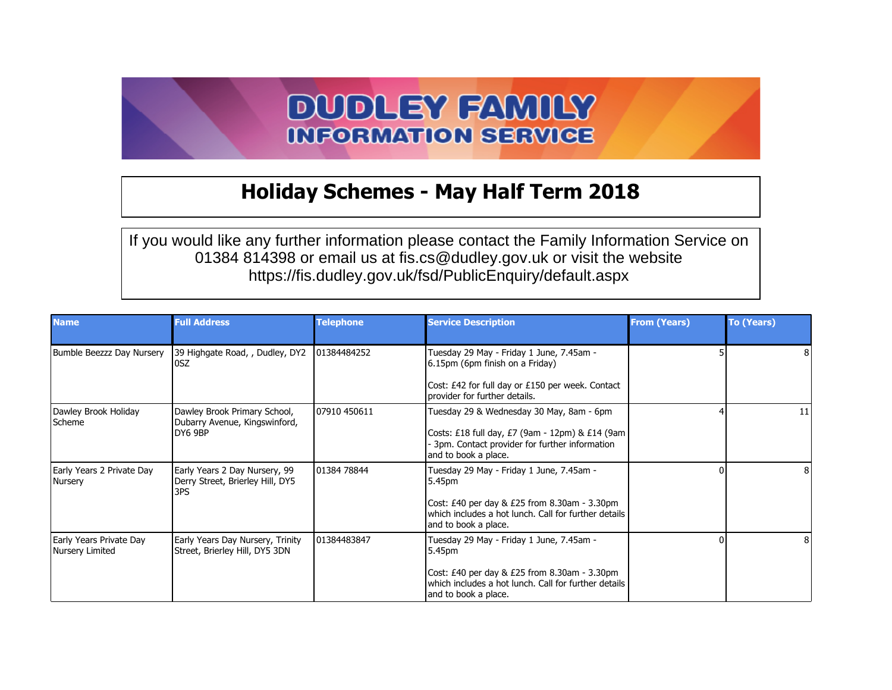## **DUDLEY FAMILY INFORMATION SERVICE**

## **Holiday Schemes - May Half Term 2018**

If you would like any further information please contact the Family Information Service on 01384 814398 or email us at fis.cs@dudley.gov.uk or visit the website https://fis.dudley.gov.uk/fsd/PublicEnquiry/default.aspx

| <b>Name</b>                                | <b>Full Address</b>                                                      | <b>Telephone</b> | <b>Service Description</b>                                                                                                                                                         | <b>From (Years)</b> | <b>To (Years)</b> |
|--------------------------------------------|--------------------------------------------------------------------------|------------------|------------------------------------------------------------------------------------------------------------------------------------------------------------------------------------|---------------------|-------------------|
| Bumble Beezzz Day Nursery                  | 39 Highgate Road, , Dudley, DY2<br>losz                                  | 101384484252     | Tuesday 29 May - Friday 1 June, 7.45am -<br>6.15pm (6pm finish on a Friday)                                                                                                        |                     |                   |
|                                            |                                                                          |                  | Cost: £42 for full day or £150 per week. Contact<br>provider for further details.                                                                                                  |                     |                   |
| Dawley Brook Holiday<br>Scheme             | Dawley Brook Primary School,<br>Dubarry Avenue, Kingswinford,<br>DY6 9BP | 07910 450611     | Tuesday 29 & Wednesday 30 May, 8am - 6pm<br>Costs: £18 full day, £7 (9am - 12pm) & £14 (9am  <br>- 3pm. Contact provider for further information<br>and to book a place.           |                     | 11                |
| Early Years 2 Private Day<br>Nursery       | Early Years 2 Day Nursery, 99<br>Derry Street, Brierley Hill, DY5<br>3PS | 01384 78844      | Tuesday 29 May - Friday 1 June, 7.45am -<br>5.45pm<br>Cost: £40 per day & £25 from 8.30am - 3.30pm<br>which includes a hot lunch. Call for further details<br>and to book a place. |                     |                   |
| Early Years Private Day<br>Nursery Limited | Early Years Day Nursery, Trinity<br>Street, Brierley Hill, DY5 3DN       | 101384483847     | Tuesday 29 May - Friday 1 June, 7.45am -<br>5.45pm<br>Cost: £40 per day & £25 from 8.30am - 3.30pm<br>which includes a hot lunch. Call for further details<br>and to book a place. |                     |                   |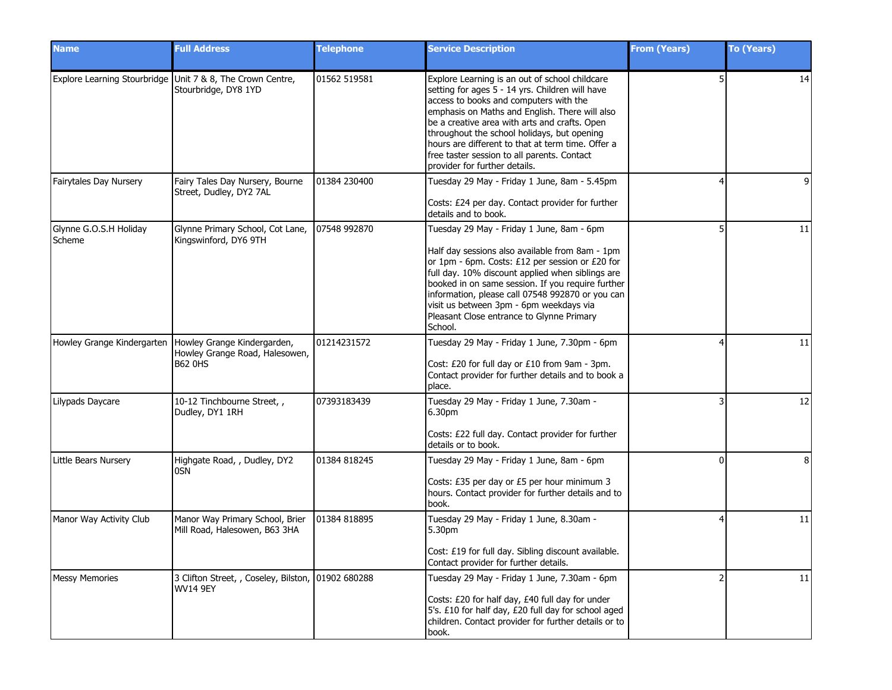| <b>Name</b>                      | <b>Full Address</b>                                                                | <b>Telephone</b> | <b>Service Description</b>                                                                                                                                                                                                                                                                                                                                                                                                         | <b>From (Years)</b> | To (Years) |
|----------------------------------|------------------------------------------------------------------------------------|------------------|------------------------------------------------------------------------------------------------------------------------------------------------------------------------------------------------------------------------------------------------------------------------------------------------------------------------------------------------------------------------------------------------------------------------------------|---------------------|------------|
|                                  | Explore Learning Stourbridge Unit 7 & 8, The Crown Centre,<br>Stourbridge, DY8 1YD | 01562 519581     | Explore Learning is an out of school childcare<br>setting for ages 5 - 14 yrs. Children will have<br>access to books and computers with the<br>emphasis on Maths and English. There will also<br>be a creative area with arts and crafts. Open<br>throughout the school holidays, but opening<br>hours are different to that at term time. Offer a<br>free taster session to all parents. Contact<br>provider for further details. |                     | 14         |
| Fairytales Day Nursery           | Fairy Tales Day Nursery, Bourne<br>Street, Dudley, DY2 7AL                         | 01384 230400     | Tuesday 29 May - Friday 1 June, 8am - 5.45pm<br>Costs: £24 per day. Contact provider for further<br>details and to book.                                                                                                                                                                                                                                                                                                           |                     | 9          |
| Glynne G.O.S.H Holiday<br>Scheme | Glynne Primary School, Cot Lane,<br>Kingswinford, DY6 9TH                          | 07548 992870     | Tuesday 29 May - Friday 1 June, 8am - 6pm<br>Half day sessions also available from 8am - 1pm<br>or 1pm - 6pm. Costs: £12 per session or £20 for<br>full day. 10% discount applied when siblings are<br>booked in on same session. If you require further<br>information, please call 07548 992870 or you can<br>visit us between 3pm - 6pm weekdays via<br>Pleasant Close entrance to Glynne Primary<br>School.                    |                     | 11         |
| Howley Grange Kindergarten       | Howley Grange Kindergarden,<br>Howley Grange Road, Halesowen,<br><b>B62 0HS</b>    | 01214231572      | Tuesday 29 May - Friday 1 June, 7.30pm - 6pm<br>Cost: £20 for full day or £10 from 9am - 3pm.<br>Contact provider for further details and to book a<br>place.                                                                                                                                                                                                                                                                      |                     | 11         |
| Lilypads Daycare                 | 10-12 Tinchbourne Street,,<br>Dudley, DY1 1RH                                      | 07393183439      | Tuesday 29 May - Friday 1 June, 7.30am -<br>6.30pm<br>Costs: £22 full day. Contact provider for further<br>details or to book.                                                                                                                                                                                                                                                                                                     |                     | 12         |
| Little Bears Nursery             | Highgate Road, , Dudley, DY2<br>0SN                                                | 01384 818245     | Tuesday 29 May - Friday 1 June, 8am - 6pm<br>Costs: £35 per day or £5 per hour minimum 3<br>hours. Contact provider for further details and to<br>book.                                                                                                                                                                                                                                                                            | <sup>0</sup>        | 8          |
| Manor Way Activity Club          | Manor Way Primary School, Brier<br>Mill Road, Halesowen, B63 3HA                   | 01384 818895     | Tuesday 29 May - Friday 1 June, 8.30am -<br>5.30pm<br>Cost: £19 for full day. Sibling discount available.<br>Contact provider for further details.                                                                                                                                                                                                                                                                                 |                     | 11         |
| <b>Messy Memories</b>            | 3 Clifton Street, , Coseley, Bilston, 01902 680288<br><b>WV14 9EY</b>              |                  | Tuesday 29 May - Friday 1 June, 7.30am - 6pm<br>Costs: £20 for half day, £40 full day for under<br>5's. £10 for half day, £20 full day for school aged<br>children. Contact provider for further details or to<br>book.                                                                                                                                                                                                            |                     | 11         |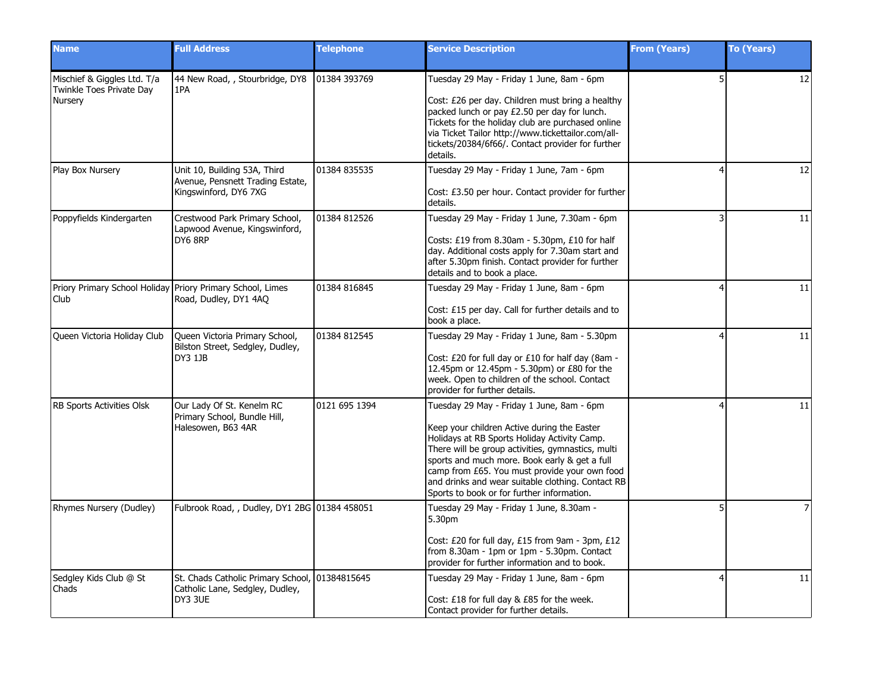| <b>Name</b>                                                               | <b>Full Address</b>                                                                          | <b>Telephone</b> | <b>Service Description</b>                                                                                                                                                                                                                                                                                                                                                                         | <b>From (Years)</b> | <b>To (Years)</b> |
|---------------------------------------------------------------------------|----------------------------------------------------------------------------------------------|------------------|----------------------------------------------------------------------------------------------------------------------------------------------------------------------------------------------------------------------------------------------------------------------------------------------------------------------------------------------------------------------------------------------------|---------------------|-------------------|
| Mischief & Giggles Ltd. T/a<br>Twinkle Toes Private Day<br><b>Nursery</b> | 44 New Road, , Stourbridge, DY8<br>1PA                                                       | 01384 393769     | Tuesday 29 May - Friday 1 June, 8am - 6pm<br>Cost: £26 per day. Children must bring a healthy<br>packed lunch or pay £2.50 per day for lunch.<br>Tickets for the holiday club are purchased online<br>via Ticket Tailor http://www.tickettailor.com/all-<br>tickets/20384/6f66/. Contact provider for further<br>details.                                                                          | 5 <sup>1</sup>      | 12                |
| Play Box Nursery                                                          | Unit 10, Building 53A, Third<br>Avenue, Pensnett Trading Estate,<br>Kingswinford, DY6 7XG    | 01384 835535     | Tuesday 29 May - Friday 1 June, 7am - 6pm<br>Cost: £3.50 per hour. Contact provider for further<br>details.                                                                                                                                                                                                                                                                                        |                     | 12                |
| Poppyfields Kindergarten                                                  | Crestwood Park Primary School,<br>Lapwood Avenue, Kingswinford,<br>DY6 8RP                   | 01384 812526     | Tuesday 29 May - Friday 1 June, 7.30am - 6pm<br>Costs: £19 from $8.30$ am $-$ 5.30pm, £10 for half<br>day. Additional costs apply for 7.30am start and<br>after 5.30pm finish. Contact provider for further<br>details and to book a place.                                                                                                                                                        | 3                   | 11                |
| Club                                                                      | Priory Primary School Holiday Priory Primary School, Limes<br>Road, Dudley, DY1 4AQ          | 01384 816845     | Tuesday 29 May - Friday 1 June, 8am - 6pm<br>Cost: £15 per day. Call for further details and to<br>book a place.                                                                                                                                                                                                                                                                                   |                     | 11                |
| Queen Victoria Holiday Club                                               | Queen Victoria Primary School,<br>Bilston Street, Sedgley, Dudley,<br><b>DY3 1JB</b>         | 01384 812545     | Tuesday 29 May - Friday 1 June, 8am - 5.30pm<br>Cost: £20 for full day or £10 for half day (8am -<br>12.45pm or 12.45pm - 5.30pm) or £80 for the<br>week. Open to children of the school. Contact<br>provider for further details.                                                                                                                                                                 |                     | 11                |
| RB Sports Activities Olsk                                                 | Our Lady Of St. Kenelm RC<br>Primary School, Bundle Hill,<br>Halesowen, B63 4AR              | 0121 695 1394    | Tuesday 29 May - Friday 1 June, 8am - 6pm<br>Keep your children Active during the Easter<br>Holidays at RB Sports Holiday Activity Camp.<br>There will be group activities, gymnastics, multi<br>sports and much more. Book early & get a full<br>camp from £65. You must provide your own food<br>and drinks and wear suitable clothing. Contact RB<br>Sports to book or for further information. |                     | 11                |
| Rhymes Nursery (Dudley)                                                   | Fulbrook Road, , Dudley, DY1 2BG 01384 458051                                                |                  | Tuesday 29 May - Friday 1 June, 8.30am -<br>5.30pm<br>Cost: £20 for full day, £15 from 9am - 3pm, £12<br>from 8.30am - 1pm or 1pm - 5.30pm. Contact<br>provider for further information and to book.                                                                                                                                                                                               | 5 <sup>1</sup>      |                   |
| Sedgley Kids Club @ St<br>Chads                                           | St. Chads Catholic Primary School, 01384815645<br>Catholic Lane, Sedgley, Dudley,<br>DY3 3UE |                  | Tuesday 29 May - Friday 1 June, 8am - 6pm<br>Cost: £18 for full day & £85 for the week.<br>Contact provider for further details.                                                                                                                                                                                                                                                                   | $\overline{4}$      | 11                |